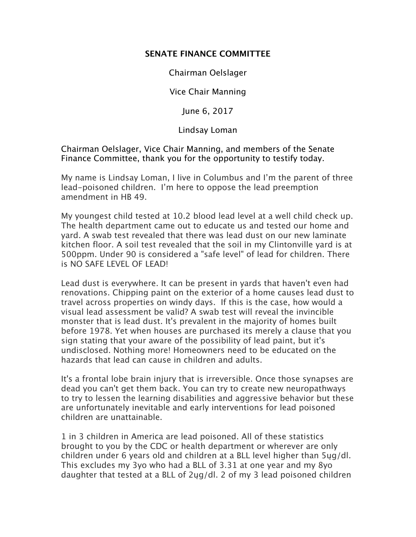## **SENATE FINANCE COMMITTEE**

Chairman Oelslager

Vice Chair Manning

June 6, 2017

Lindsay Loman

Chairman Oelslager, Vice Chair Manning, and members of the Senate Finance Committee, thank you for the opportunity to testify today.

My name is Lindsay Loman, I live in Columbus and I'm the parent of three lead-poisoned children. I'm here to oppose the lead preemption amendment in HB 49.

My youngest child tested at 10.2 blood lead level at a well child check up. The health department came out to educate us and tested our home and yard. A swab test revealed that there was lead dust on our new laminate kitchen floor. A soil test revealed that the soil in my Clintonville yard is at 500ppm. Under 90 is considered a "safe level" of lead for children. There is NO SAFE LEVEL OF LEAD!

Lead dust is everywhere. It can be present in yards that haven't even had renovations. Chipping paint on the exterior of a home causes lead dust to travel across properties on windy days. If this is the case, how would a visual lead assessment be valid? A swab test will reveal the invincible monster that is lead dust. It's prevalent in the majority of homes built before 1978. Yet when houses are purchased its merely a clause that you sign stating that your aware of the possibility of lead paint, but it's undisclosed. Nothing more! Homeowners need to be educated on the hazards that lead can cause in children and adults.

It's a frontal lobe brain injury that is irreversible. Once those synapses are dead you can't get them back. You can try to create new neuropathways to try to lessen the learning disabilities and aggressive behavior but these are unfortunately inevitable and early interventions for lead poisoned children are unattainable.

1 in 3 children in America are lead poisoned. All of these statistics brought to you by the CDC or health department or wherever are only children under 6 years old and children at a BLL level higher than 5ųg/dl. This excludes my 3yo who had a BLL of 3.31 at one year and my 8yo daughter that tested at a BLL of 2ųg/dl. 2 of my 3 lead poisoned children